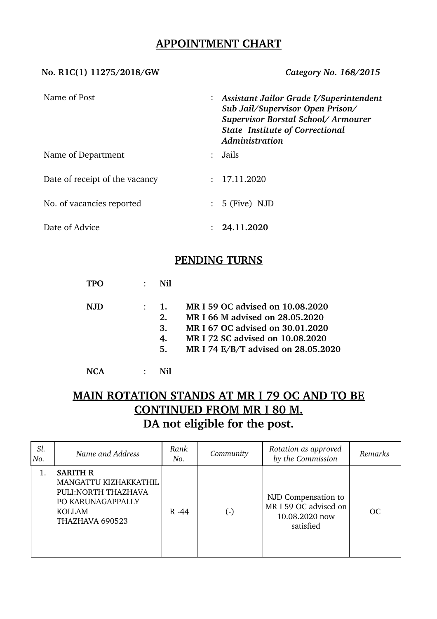## **APPOINTMENT CHART**

### **No. R1C(1) 11275/2018/GW** *Category No. 168/2015*

| Name of Post                   |               | : Assistant Jailor Grade I/Superintendent<br>Sub Jail/Supervisor Open Prison/<br>Supervisor Borstal School/Armourer<br><b>State Institute of Correctional</b><br>Administration |
|--------------------------------|---------------|---------------------------------------------------------------------------------------------------------------------------------------------------------------------------------|
| Name of Department             | $\mathcal{L}$ | Jails                                                                                                                                                                           |
| Date of receipt of the vacancy |               | : 17.11.2020                                                                                                                                                                    |
| No. of vacancies reported      |               | $: 5$ (Five) NJD                                                                                                                                                                |
| Date of Advice                 |               | 24.11.2020                                                                                                                                                                      |

## **PENDING TURNS**

|      | Nil                        |                                                                                                                                                                                    |
|------|----------------------------|------------------------------------------------------------------------------------------------------------------------------------------------------------------------------------|
| N.JD | 1.<br>2.<br>3.<br>4.<br>5. | MR I 59 OC advised on 10.08.2020<br>MR I 66 M advised on 28.05.2020<br>MR I 67 OC advised on 30.01.2020<br>MR I 72 SC advised on 10.08.2020<br>MR I 74 E/B/T advised on 28.05.2020 |
|      |                            |                                                                                                                                                                                    |

# **MAIN ROTATION STANDS AT MR I 79 OC AND TO BE CONTINUED FROM MR I 80 M. DA not eligible for the post.**

| Sl.<br>No. | Name and Address                                                                                                          | Rank<br>No. | Community | Rotation as approved<br>by the Commission                                   | Remarks   |
|------------|---------------------------------------------------------------------------------------------------------------------------|-------------|-----------|-----------------------------------------------------------------------------|-----------|
|            | <b>SARITH R</b><br>MANGATTU KIZHAKKATHIL<br>PULI: NORTH THAZHAVA<br>PO KARUNAGAPPALLY<br><b>KOLLAM</b><br>THAZHAVA 690523 | $R - 44$    | $(\cdot)$ | NJD Compensation to<br>MR I 59 OC advised on<br>10.08.2020 now<br>satisfied | <b>OC</b> |